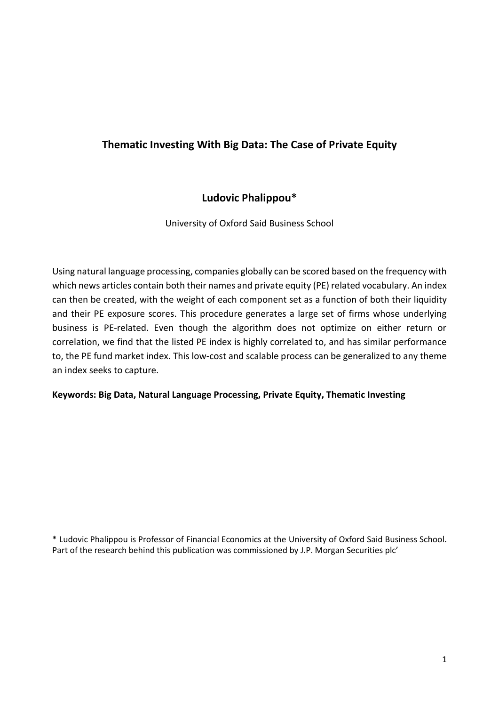# **Thematic Investing With Big Data: The Case of Private Equity**

# **Ludovic Phalippou\***

University of Oxford Said Business School

Using natural language processing, companies globally can be scored based on the frequency with which news articles contain both their names and private equity (PE) related vocabulary. An index can then be created, with the weight of each component set as a function of both their liquidity and their PE exposure scores. This procedure generates a large set of firms whose underlying business is PE-related. Even though the algorithm does not optimize on either return or correlation, we find that the listed PE index is highly correlated to, and has similar performance to, the PE fund market index. This low-cost and scalable process can be generalized to any theme an index seeks to capture.

## **Keywords: Big Data, Natural Language Processing, Private Equity, Thematic Investing**

\* Ludovic Phalippou is Professor of Financial Economics at the University of Oxford Said Business School. Part of the research behind this publication was commissioned by J.P. Morgan Securities plc'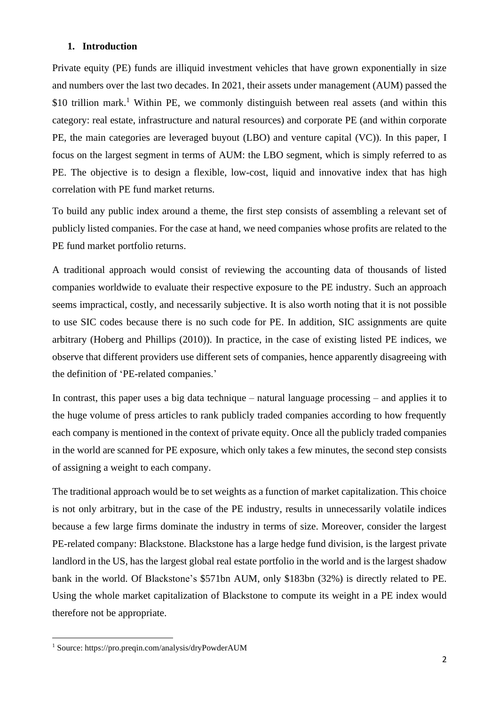#### **1. Introduction**

Private equity (PE) funds are illiquid investment vehicles that have grown exponentially in size and numbers over the last two decades. In 2021, their assets under management (AUM) passed the \$10 trillion mark.<sup>1</sup> Within PE, we commonly distinguish between real assets (and within this category: real estate, infrastructure and natural resources) and corporate PE (and within corporate PE, the main categories are leveraged buyout (LBO) and venture capital (VC)). In this paper, I focus on the largest segment in terms of AUM: the LBO segment, which is simply referred to as PE. The objective is to design a flexible, low-cost, liquid and innovative index that has high correlation with PE fund market returns.

To build any public index around a theme, the first step consists of assembling a relevant set of publicly listed companies. For the case at hand, we need companies whose profits are related to the PE fund market portfolio returns.

A traditional approach would consist of reviewing the accounting data of thousands of listed companies worldwide to evaluate their respective exposure to the PE industry. Such an approach seems impractical, costly, and necessarily subjective. It is also worth noting that it is not possible to use SIC codes because there is no such code for PE. In addition, SIC assignments are quite arbitrary (Hoberg and Phillips (2010)). In practice, in the case of existing listed PE indices, we observe that different providers use different sets of companies, hence apparently disagreeing with the definition of 'PE-related companies.'

In contrast, this paper uses a big data technique – natural language processing – and applies it to the huge volume of press articles to rank publicly traded companies according to how frequently each company is mentioned in the context of private equity. Once all the publicly traded companies in the world are scanned for PE exposure, which only takes a few minutes, the second step consists of assigning a weight to each company.

The traditional approach would be to set weights as a function of market capitalization. This choice is not only arbitrary, but in the case of the PE industry, results in unnecessarily volatile indices because a few large firms dominate the industry in terms of size. Moreover, consider the largest PE-related company: Blackstone. Blackstone has a large hedge fund division, is the largest private landlord in the US, has the largest global real estate portfolio in the world and is the largest shadow bank in the world. Of Blackstone's \$571bn AUM, only \$183bn (32%) is directly related to PE. Using the whole market capitalization of Blackstone to compute its weight in a PE index would therefore not be appropriate.

<sup>1</sup> Source: https://pro.preqin.com/analysis/dryPowderAUM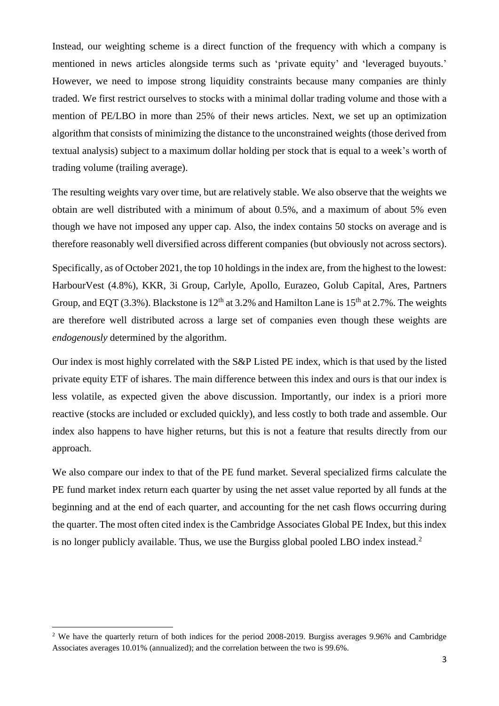Instead, our weighting scheme is a direct function of the frequency with which a company is mentioned in news articles alongside terms such as 'private equity' and 'leveraged buyouts.' However, we need to impose strong liquidity constraints because many companies are thinly traded. We first restrict ourselves to stocks with a minimal dollar trading volume and those with a mention of PE/LBO in more than 25% of their news articles. Next, we set up an optimization algorithm that consists of minimizing the distance to the unconstrained weights (those derived from textual analysis) subject to a maximum dollar holding per stock that is equal to a week's worth of trading volume (trailing average).

The resulting weights vary over time, but are relatively stable. We also observe that the weights we obtain are well distributed with a minimum of about 0.5%, and a maximum of about 5% even though we have not imposed any upper cap. Also, the index contains 50 stocks on average and is therefore reasonably well diversified across different companies (but obviously not across sectors).

Specifically, as of October 2021, the top 10 holdings in the index are, from the highest to the lowest: HarbourVest (4.8%), KKR, 3i Group, Carlyle, Apollo, Eurazeo, Golub Capital, Ares, Partners Group, and EQT (3.3%). Blackstone is  $12<sup>th</sup>$  at 3.2% and Hamilton Lane is  $15<sup>th</sup>$  at 2.7%. The weights are therefore well distributed across a large set of companies even though these weights are *endogenously* determined by the algorithm.

Our index is most highly correlated with the S&P Listed PE index, which is that used by the listed private equity ETF of ishares. The main difference between this index and ours is that our index is less volatile, as expected given the above discussion. Importantly, our index is a priori more reactive (stocks are included or excluded quickly), and less costly to both trade and assemble. Our index also happens to have higher returns, but this is not a feature that results directly from our approach.

We also compare our index to that of the PE fund market. Several specialized firms calculate the PE fund market index return each quarter by using the net asset value reported by all funds at the beginning and at the end of each quarter, and accounting for the net cash flows occurring during the quarter. The most often cited index is the Cambridge Associates Global PE Index, but this index is no longer publicly available. Thus, we use the Burgiss global pooled LBO index instead.<sup>2</sup>

<sup>&</sup>lt;sup>2</sup> We have the quarterly return of both indices for the period 2008-2019. Burgiss averages 9.96% and Cambridge Associates averages 10.01% (annualized); and the correlation between the two is 99.6%.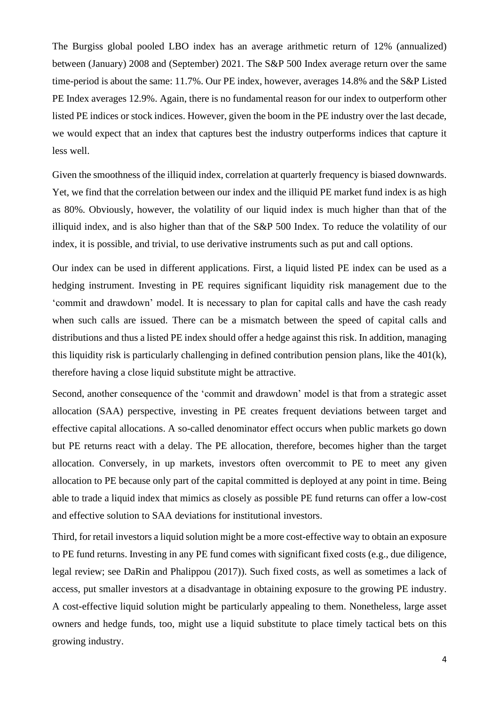The Burgiss global pooled LBO index has an average arithmetic return of 12% (annualized) between (January) 2008 and (September) 2021. The S&P 500 Index average return over the same time-period is about the same: 11.7%. Our PE index, however, averages 14.8% and the S&P Listed PE Index averages 12.9%. Again, there is no fundamental reason for our index to outperform other listed PE indices or stock indices. However, given the boom in the PE industry over the last decade, we would expect that an index that captures best the industry outperforms indices that capture it less well.

Given the smoothness of the illiquid index, correlation at quarterly frequency is biased downwards. Yet, we find that the correlation between our index and the illiquid PE market fund index is as high as 80%. Obviously, however, the volatility of our liquid index is much higher than that of the illiquid index, and is also higher than that of the S&P 500 Index. To reduce the volatility of our index, it is possible, and trivial, to use derivative instruments such as put and call options.

Our index can be used in different applications. First, a liquid listed PE index can be used as a hedging instrument. Investing in PE requires significant liquidity risk management due to the 'commit and drawdown' model. It is necessary to plan for capital calls and have the cash ready when such calls are issued. There can be a mismatch between the speed of capital calls and distributions and thus a listed PE index should offer a hedge against this risk. In addition, managing this liquidity risk is particularly challenging in defined contribution pension plans, like the  $401(k)$ , therefore having a close liquid substitute might be attractive.

Second, another consequence of the 'commit and drawdown' model is that from a strategic asset allocation (SAA) perspective, investing in PE creates frequent deviations between target and effective capital allocations. A so-called denominator effect occurs when public markets go down but PE returns react with a delay. The PE allocation, therefore, becomes higher than the target allocation. Conversely, in up markets, investors often overcommit to PE to meet any given allocation to PE because only part of the capital committed is deployed at any point in time. Being able to trade a liquid index that mimics as closely as possible PE fund returns can offer a low-cost and effective solution to SAA deviations for institutional investors.

Third, for retail investors a liquid solution might be a more cost-effective way to obtain an exposure to PE fund returns. Investing in any PE fund comes with significant fixed costs (e.g., due diligence, legal review; see DaRin and Phalippou (2017)). Such fixed costs, as well as sometimes a lack of access, put smaller investors at a disadvantage in obtaining exposure to the growing PE industry. A cost-effective liquid solution might be particularly appealing to them. Nonetheless, large asset owners and hedge funds, too, might use a liquid substitute to place timely tactical bets on this growing industry.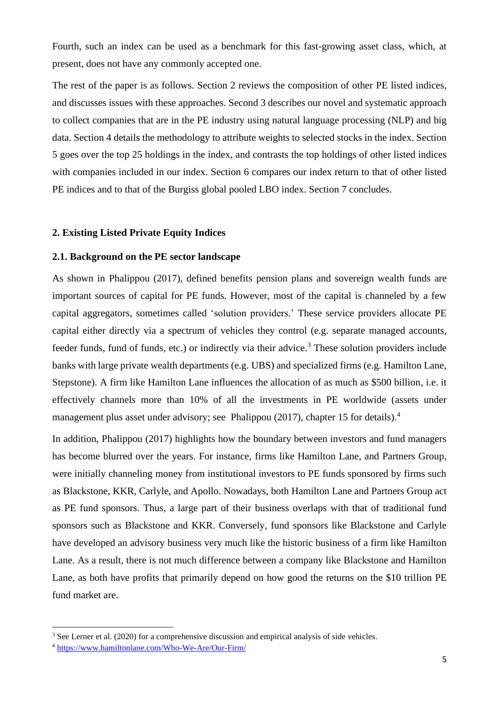Fourth, such an index can be used as a benchmark for this fast-growing asset class, which, at present, does not have any commonly accepted one.

The rest of the paper is as follows. Section 2 reviews the composition of other PE listed indices, and discusses issues with these approaches. Second 3 describes our novel and systematic approach to collect companies that are in the PE industry using natural language processing (NLP) and big data. Section 4 details the methodology to attribute weights to selected stocks in the index. Section 5 goes over the top 25 holdings in the index, and contrasts the top holdings of other listed indices with companies included in our index. Section 6 compares our index return to that of other listed PE indices and to that of the Burgiss global pooled LBO index. Section 7 concludes.

#### **2. Existing Listed Private Equity Indices**

#### **2.1. Background on the PE sector landscape**

As shown in Phalippou (2017), defined benefits pension plans and sovereign wealth funds are important sources of capital for PE funds. However, most of the capital is channeled by a few capital aggregators, sometimes called 'solution providers.' These service providers allocate PE capital either directly via a spectrum of vehicles they control (e.g. separate managed accounts, feeder funds, fund of funds, etc.) or indirectly via their advice. <sup>3</sup> These solution providers include banks with large private wealth departments (e.g. UBS) and specialized firms (e.g. Hamilton Lane, Stepstone). A firm like Hamilton Lane influences the allocation of as much as \$500 billion, i.e. it effectively channels more than 10% of all the investments in PE worldwide (assets under management plus asset under advisory; see Phalippou (2017), chapter 15 for details).<sup>4</sup>

In addition, Phalippou (2017) highlights how the boundary between investors and fund managers has become blurred over the years. For instance, firms like Hamilton Lane, and Partners Group, were initially channeling money from institutional investors to PE funds sponsored by firms such as Blackstone, KKR, Carlyle, and Apollo. Nowadays, both Hamilton Lane and Partners Group act as PE fund sponsors. Thus, a large part of their business overlaps with that of traditional fund sponsors such as Blackstone and KKR. Conversely, fund sponsors like Blackstone and Carlyle have developed an advisory business very much like the historic business of a firm like Hamilton Lane. As a result, there is not much difference between a company like Blackstone and Hamilton Lane, as both have profits that primarily depend on how good the returns on the \$10 trillion PE fund market are.

<sup>&</sup>lt;sup>3</sup> See Lerner et al. (2020) for a comprehensive discussion and empirical analysis of side vehicles.

<sup>4</sup> <https://www.hamiltonlane.com/Who-We-Are/Our-Firm/>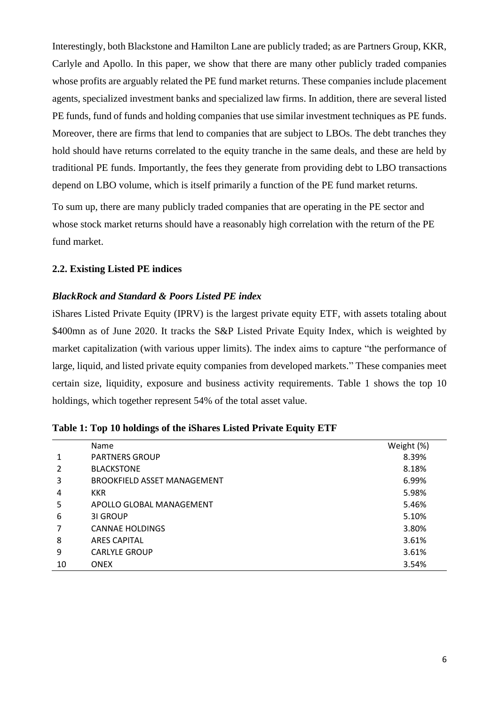Interestingly, both Blackstone and Hamilton Lane are publicly traded; as are Partners Group, KKR, Carlyle and Apollo. In this paper, we show that there are many other publicly traded companies whose profits are arguably related the PE fund market returns. These companies include placement agents, specialized investment banks and specialized law firms. In addition, there are several listed PE funds, fund of funds and holding companies that use similar investment techniques as PE funds. Moreover, there are firms that lend to companies that are subject to LBOs. The debt tranches they hold should have returns correlated to the equity tranche in the same deals, and these are held by traditional PE funds. Importantly, the fees they generate from providing debt to LBO transactions depend on LBO volume, which is itself primarily a function of the PE fund market returns.

To sum up, there are many publicly traded companies that are operating in the PE sector and whose stock market returns should have a reasonably high correlation with the return of the PE fund market.

#### **2.2. Existing Listed PE indices**

#### *BlackRock and Standard & Poors Listed PE index*

iShares Listed Private Equity (IPRV) is the largest private equity ETF, with assets totaling about \$400mn as of June 2020. It tracks the S&P Listed Private Equity Index, which is weighted by market capitalization (with various upper limits). The index aims to capture "the performance of large, liquid, and listed private equity companies from developed markets." These companies meet certain size, liquidity, exposure and business activity requirements. Table 1 shows the top 10 holdings, which together represent 54% of the total asset value.

|    | Name                               | Weight (%) |
|----|------------------------------------|------------|
| 1  | <b>PARTNERS GROUP</b>              | 8.39%      |
| 2  | <b>BLACKSTONE</b>                  | 8.18%      |
| 3  | <b>BROOKFIELD ASSET MANAGEMENT</b> | 6.99%      |
| 4  | <b>KKR</b>                         | 5.98%      |
| 5  | APOLLO GLOBAL MANAGEMENT           | 5.46%      |
| 6  | 31 GROUP                           | 5.10%      |
| 7  | <b>CANNAE HOLDINGS</b>             | 3.80%      |
| 8  | <b>ARES CAPITAL</b>                | 3.61%      |
| 9  | <b>CARLYLE GROUP</b>               | 3.61%      |
| 10 | <b>ONEX</b>                        | 3.54%      |

|  |  |  |  | Table 1: Top 10 holdings of the iShares Listed Private Equity ETF |  |  |
|--|--|--|--|-------------------------------------------------------------------|--|--|
|  |  |  |  |                                                                   |  |  |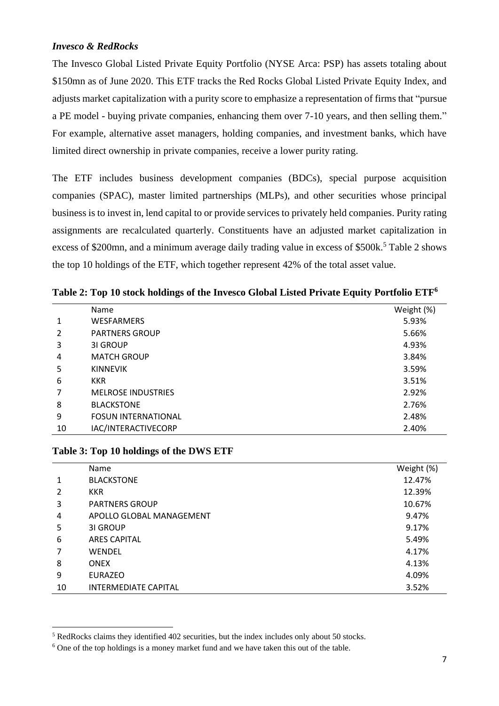# *Invesco & RedRocks*

The Invesco Global Listed Private Equity Portfolio (NYSE Arca: PSP) has assets totaling about \$150mn as of June 2020. This ETF tracks the Red Rocks Global Listed Private Equity Index, and adjusts market capitalization with a purity score to emphasize a representation of firms that "pursue a PE model - buying private companies, enhancing them over 7-10 years, and then selling them." For example, alternative asset managers, holding companies, and investment banks, which have limited direct ownership in private companies, receive a lower purity rating.

The ETF includes business development companies (BDCs), special purpose acquisition companies (SPAC), master limited partnerships (MLPs), and other securities whose principal business is to invest in, lend capital to or provide services to privately held companies. Purity rating assignments are recalculated quarterly. Constituents have an adjusted market capitalization in excess of \$200mn, and a minimum average daily trading value in excess of \$500k.<sup>5</sup> Table 2 shows the top 10 holdings of the ETF, which together represent 42% of the total asset value.

|    | Name                       | Weight (%) |
|----|----------------------------|------------|
| 1  | <b>WESFARMERS</b>          | 5.93%      |
| 2  | <b>PARTNERS GROUP</b>      | 5.66%      |
| 3  | 31 GROUP                   | 4.93%      |
| 4  | <b>MATCH GROUP</b>         | 3.84%      |
| 5  | <b>KINNEVIK</b>            | 3.59%      |
| 6  | <b>KKR</b>                 | 3.51%      |
| 7  | <b>MELROSE INDUSTRIES</b>  | 2.92%      |
| 8  | <b>BLACKSTONE</b>          | 2.76%      |
| 9  | <b>FOSUN INTERNATIONAL</b> | 2.48%      |
| 10 | IAC/INTERACTIVECORP        | 2.40%      |

**Table 2: Top 10 stock holdings of the Invesco Global Listed Private Equity Portfolio ETF<sup>6</sup>**

## **Table 3: Top 10 holdings of the DWS ETF**

|    | Name                        | Weight (%) |
|----|-----------------------------|------------|
| 1  | <b>BLACKSTONE</b>           | 12.47%     |
| 2  | <b>KKR</b>                  | 12.39%     |
| 3  | <b>PARTNERS GROUP</b>       | 10.67%     |
| 4  | APOLLO GLOBAL MANAGEMENT    | 9.47%      |
| 5  | 31 GROUP                    | 9.17%      |
| 6  | <b>ARES CAPITAL</b>         | 5.49%      |
|    | WENDEL                      | 4.17%      |
| 8  | <b>ONEX</b>                 | 4.13%      |
| 9  | <b>EURAZEO</b>              | 4.09%      |
| 10 | <b>INTERMEDIATE CAPITAL</b> | 3.52%      |

<sup>5</sup> RedRocks claims they identified 402 securities, but the index includes only about 50 stocks.

<sup>6</sup> One of the top holdings is a money market fund and we have taken this out of the table.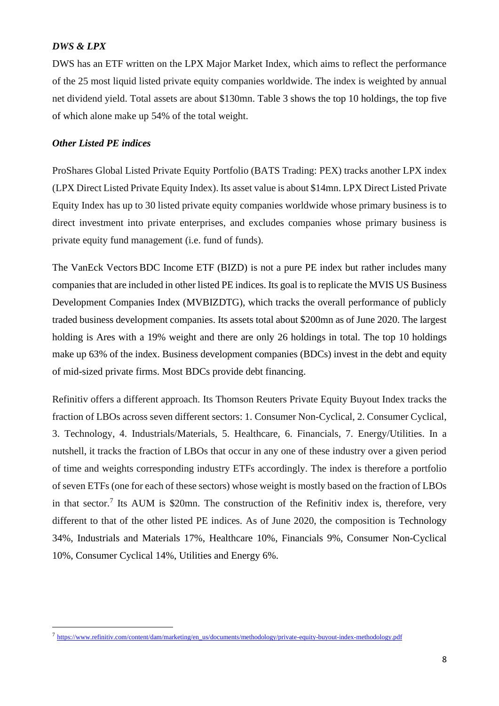# *DWS & LPX*

DWS has an ETF written on the LPX Major Market Index, which aims to reflect the performance of the 25 most liquid listed private equity companies worldwide. The index is weighted by annual net dividend yield. Total assets are about \$130mn. Table 3 shows the top 10 holdings, the top five of which alone make up 54% of the total weight.

## *Other Listed PE indices*

ProShares Global Listed Private Equity Portfolio (BATS Trading: PEX) tracks another LPX index (LPX Direct Listed Private Equity Index). Its asset value is about \$14mn. LPX Direct Listed Private Equity Index has up to 30 listed private equity companies worldwide whose primary business is to direct investment into private enterprises, and excludes companies whose primary business is private equity fund management (i.e. fund of funds).

The VanEck Vectors BDC Income ETF (BIZD) is not a pure PE index but rather includes many companies that are included in other listed PE indices. Its goal is to replicate the MVIS US Business Development Companies Index (MVBIZDTG), which tracks the overall performance of publicly traded business development companies. Its assets total about \$200mn as of June 2020. The largest holding is Ares with a 19% weight and there are only 26 holdings in total. The top 10 holdings make up 63% of the index. Business development companies (BDCs) invest in the debt and equity of mid-sized private firms. Most BDCs provide debt financing.

Refinitiv offers a different approach. Its Thomson Reuters Private Equity Buyout Index tracks the fraction of LBOs across seven different sectors: 1. Consumer Non-Cyclical, 2. Consumer Cyclical, 3. Technology, 4. Industrials/Materials, 5. Healthcare, 6. Financials, 7. Energy/Utilities. In a nutshell, it tracks the fraction of LBOs that occur in any one of these industry over a given period of time and weights corresponding industry ETFs accordingly. The index is therefore a portfolio of seven ETFs (one for each of these sectors) whose weight is mostly based on the fraction of LBOs in that sector.<sup>7</sup> Its AUM is \$20mn. The construction of the Refinitiv index is, therefore, very different to that of the other listed PE indices. As of June 2020, the composition is Technology 34%, Industrials and Materials 17%, Healthcare 10%, Financials 9%, Consumer Non-Cyclical 10%, Consumer Cyclical 14%, Utilities and Energy 6%.

<sup>7</sup> [https://www.refinitiv.com/content/dam/marketing/en\\_us/documents/methodology/private-equity-buyout-index-methodology.pdf](https://www.refinitiv.com/content/dam/marketing/en_us/documents/methodology/private-equity-buyout-index-methodology.pdf)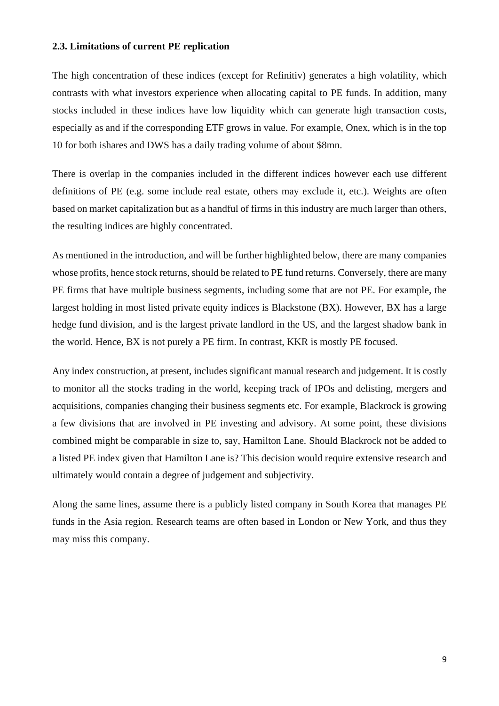#### **2.3. Limitations of current PE replication**

The high concentration of these indices (except for Refinitiv) generates a high volatility, which contrasts with what investors experience when allocating capital to PE funds. In addition, many stocks included in these indices have low liquidity which can generate high transaction costs, especially as and if the corresponding ETF grows in value. For example, Onex, which is in the top 10 for both ishares and DWS has a daily trading volume of about \$8mn.

There is overlap in the companies included in the different indices however each use different definitions of PE (e.g. some include real estate, others may exclude it, etc.). Weights are often based on market capitalization but as a handful of firms in this industry are much larger than others, the resulting indices are highly concentrated.

As mentioned in the introduction, and will be further highlighted below, there are many companies whose profits, hence stock returns, should be related to PE fund returns. Conversely, there are many PE firms that have multiple business segments, including some that are not PE. For example, the largest holding in most listed private equity indices is Blackstone (BX). However, BX has a large hedge fund division, and is the largest private landlord in the US, and the largest shadow bank in the world. Hence, BX is not purely a PE firm. In contrast, KKR is mostly PE focused.

Any index construction, at present, includes significant manual research and judgement. It is costly to monitor all the stocks trading in the world, keeping track of IPOs and delisting, mergers and acquisitions, companies changing their business segments etc. For example, Blackrock is growing a few divisions that are involved in PE investing and advisory. At some point, these divisions combined might be comparable in size to, say, Hamilton Lane. Should Blackrock not be added to a listed PE index given that Hamilton Lane is? This decision would require extensive research and ultimately would contain a degree of judgement and subjectivity.

Along the same lines, assume there is a publicly listed company in South Korea that manages PE funds in the Asia region. Research teams are often based in London or New York, and thus they may miss this company.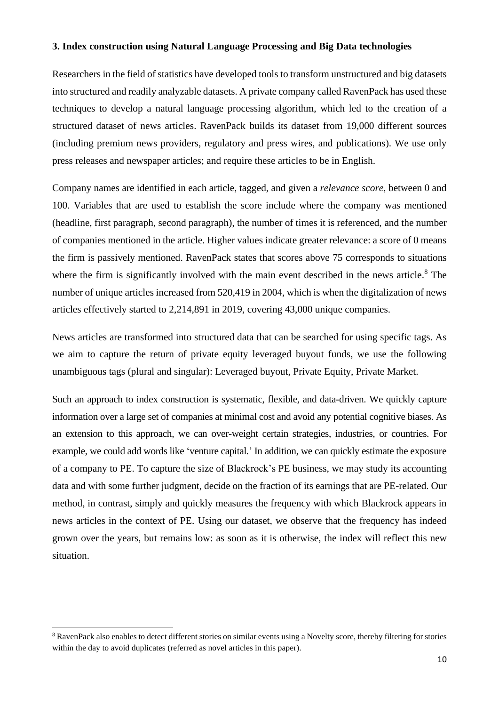#### **3. Index construction using Natural Language Processing and Big Data technologies**

Researchers in the field of statistics have developed tools to transform unstructured and big datasets into structured and readily analyzable datasets. A private company called RavenPack has used these techniques to develop a natural language processing algorithm, which led to the creation of a structured dataset of news articles. RavenPack builds its dataset from 19,000 different sources (including premium news providers, regulatory and press wires, and publications). We use only press releases and newspaper articles; and require these articles to be in English.

Company names are identified in each article, tagged, and given a *relevance score*, between 0 and 100. Variables that are used to establish the score include where the company was mentioned (headline, first paragraph, second paragraph), the number of times it is referenced, and the number of companies mentioned in the article. Higher values indicate greater relevance: a score of 0 means the firm is passively mentioned. RavenPack states that scores above 75 corresponds to situations where the firm is significantly involved with the main event described in the news article.<sup>8</sup> The number of unique articles increased from 520,419 in 2004, which is when the digitalization of news articles effectively started to 2,214,891 in 2019, covering 43,000 unique companies.

News articles are transformed into structured data that can be searched for using specific tags. As we aim to capture the return of private equity leveraged buyout funds, we use the following unambiguous tags (plural and singular): Leveraged buyout, Private Equity, Private Market.

Such an approach to index construction is systematic, flexible, and data-driven. We quickly capture information over a large set of companies at minimal cost and avoid any potential cognitive biases. As an extension to this approach, we can over-weight certain strategies, industries, or countries. For example, we could add words like 'venture capital*.*' In addition, we can quickly estimate the exposure of a company to PE. To capture the size of Blackrock's PE business, we may study its accounting data and with some further judgment, decide on the fraction of its earnings that are PE-related. Our method, in contrast, simply and quickly measures the frequency with which Blackrock appears in news articles in the context of PE. Using our dataset, we observe that the frequency has indeed grown over the years, but remains low: as soon as it is otherwise, the index will reflect this new situation.

<sup>&</sup>lt;sup>8</sup> RavenPack also enables to detect different stories on similar events using a Novelty score, thereby filtering for stories within the day to avoid duplicates (referred as novel articles in this paper).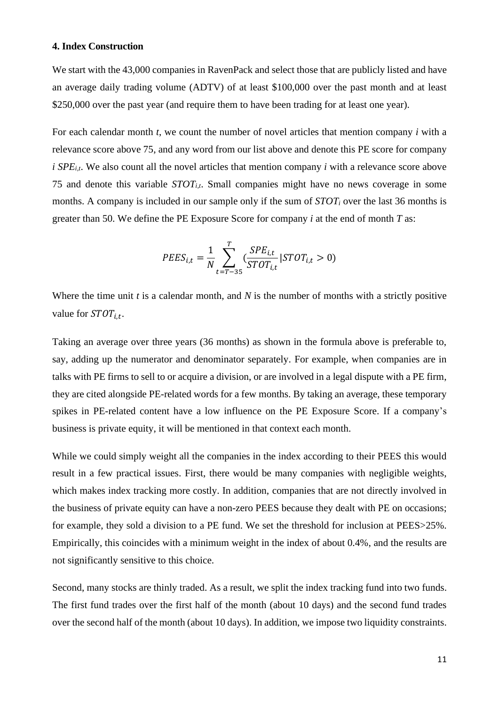#### **4. Index Construction**

We start with the 43,000 companies in RavenPack and select those that are publicly listed and have an average daily trading volume (ADTV) of at least \$100,000 over the past month and at least \$250,000 over the past year (and require them to have been trading for at least one year).

For each calendar month *t*, we count the number of novel articles that mention company *i* with a relevance score above 75, and any word from our list above and denote this PE score for company *i SPE<sub>i,t</sub>*. We also count all the novel articles that mention company *i* with a relevance score above 75 and denote this variable *STOTi,t*. Small companies might have no news coverage in some months. A company is included in our sample only if the sum of *STOT<sup>i</sup>* over the last 36 months is greater than 50. We define the PE Exposure Score for company *i* at the end of month *T* as:

$$
PEES_{i,t} = \frac{1}{N} \sum_{t=T-35}^{T} \left( \frac{SPE_{i,t}}{STOT_{i,t}} | STOT_{i,t} > 0 \right)
$$

Where the time unit *t* is a calendar month, and *N* is the number of months with a strictly positive value for  $STOT_{i,t}$ .

Taking an average over three years (36 months) as shown in the formula above is preferable to, say, adding up the numerator and denominator separately. For example, when companies are in talks with PE firms to sell to or acquire a division, or are involved in a legal dispute with a PE firm, they are cited alongside PE-related words for a few months. By taking an average, these temporary spikes in PE-related content have a low influence on the PE Exposure Score. If a company's business is private equity, it will be mentioned in that context each month.

While we could simply weight all the companies in the index according to their PEES this would result in a few practical issues. First, there would be many companies with negligible weights, which makes index tracking more costly. In addition, companies that are not directly involved in the business of private equity can have a non-zero PEES because they dealt with PE on occasions; for example, they sold a division to a PE fund. We set the threshold for inclusion at PEES>25%. Empirically, this coincides with a minimum weight in the index of about 0.4%, and the results are not significantly sensitive to this choice.

Second, many stocks are thinly traded. As a result, we split the index tracking fund into two funds. The first fund trades over the first half of the month (about 10 days) and the second fund trades over the second half of the month (about 10 days). In addition, we impose two liquidity constraints.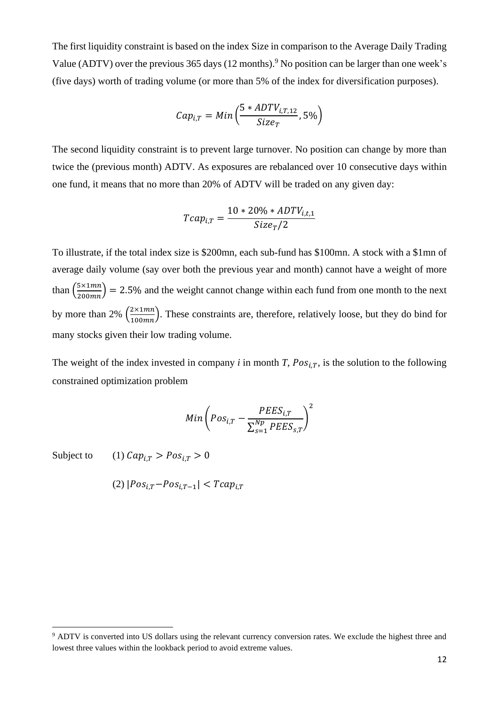The first liquidity constraint is based on the index Size in comparison to the Average Daily Trading Value (ADTV) over the previous 365 days (12 months).<sup>9</sup> No position can be larger than one week's (five days) worth of trading volume (or more than 5% of the index for diversification purposes).

$$
Cap_{i,T} = Min\left(\frac{5 * ADTV_{i,T,12}}{Size_T}, 5\%\right)
$$

The second liquidity constraint is to prevent large turnover. No position can change by more than twice the (previous month) ADTV. As exposures are rebalanced over 10 consecutive days within one fund, it means that no more than 20% of ADTV will be traded on any given day:

$$
Tcap_{i,T} = \frac{10 * 20\% * ADTV_{i,t,1}}{Size_T/2}
$$

To illustrate, if the total index size is \$200mn, each sub-fund has \$100mn. A stock with a \$1mn of average daily volume (say over both the previous year and month) cannot have a weight of more than  $\left(\frac{5 \times 1mn}{200mn}\right)$  = 2.5% and the weight cannot change within each fund from one month to the next by more than 2%  $\left(\frac{2 \times 1mn}{100mn}\right)$ . These constraints are, therefore, relatively loose, but they do bind for many stocks given their low trading volume.

The weight of the index invested in company *i* in month *T*,  $Pos_{i,T}$ , is the solution to the following constrained optimization problem

$$
Min\left(Pos_{i,T} - \frac{PEES_{i,T}}{\sum_{s=1}^{Np} PEES_{s,T}}\right)^2
$$

Subject to (1)  $Cap_{iT} > Pos_{iT} > 0$ 

(2)  $|Pos_{iT}-Pos_{iT-1}| < Tcap_{iT}$ 

<sup>9</sup> ADTV is converted into US dollars using the relevant currency conversion rates. We exclude the highest three and lowest three values within the lookback period to avoid extreme values.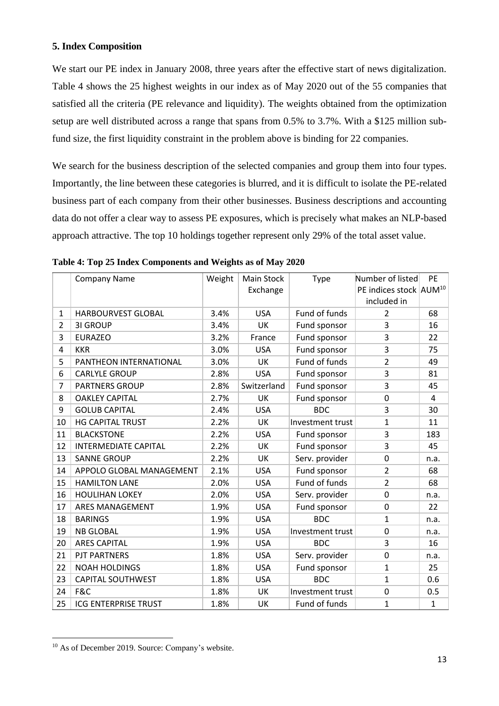# **5. Index Composition**

We start our PE index in January 2008, three years after the effective start of news digitalization. Table 4 shows the 25 highest weights in our index as of May 2020 out of the 55 companies that satisfied all the criteria (PE relevance and liquidity). The weights obtained from the optimization setup are well distributed across a range that spans from 0.5% to 3.7%. With a \$125 million subfund size, the first liquidity constraint in the problem above is binding for 22 companies.

We search for the business description of the selected companies and group them into four types. Importantly, the line between these categories is blurred, and it is difficult to isolate the PE-related business part of each company from their other businesses. Business descriptions and accounting data do not offer a clear way to assess PE exposures, which is precisely what makes an NLP-based approach attractive. The top 10 holdings together represent only 29% of the total asset value.

|                | <b>Company Name</b>         | Weight | <b>Main Stock</b> | Type             | Number of listed                   | <b>PE</b> |
|----------------|-----------------------------|--------|-------------------|------------------|------------------------------------|-----------|
|                |                             |        | Exchange          |                  | PE indices stock AUM <sup>10</sup> |           |
|                |                             |        |                   |                  | included in                        |           |
| $\mathbf{1}$   | HARBOURVEST GLOBAL          | 3.4%   | <b>USA</b>        | Fund of funds    | $\overline{2}$                     | 68        |
| 2              | <b>31 GROUP</b>             | 3.4%   | <b>UK</b>         | Fund sponsor     | 3                                  | 16        |
| 3              | <b>EURAZEO</b>              | 3.2%   | France            | Fund sponsor     | 3                                  | 22        |
| 4              | <b>KKR</b>                  | 3.0%   | <b>USA</b>        | Fund sponsor     | 3                                  | 75        |
| 5              | PANTHEON INTERNATIONAL      | 3.0%   | <b>UK</b>         | Fund of funds    | $\overline{2}$                     | 49        |
| 6              | <b>CARLYLE GROUP</b>        | 2.8%   | <b>USA</b>        | Fund sponsor     | 3                                  | 81        |
| $\overline{7}$ | <b>PARTNERS GROUP</b>       | 2.8%   | Switzerland       | Fund sponsor     | 3                                  | 45        |
| 8              | <b>OAKLEY CAPITAL</b>       | 2.7%   | UK                | Fund sponsor     | $\overline{0}$                     | 4         |
| 9              | <b>GOLUB CAPITAL</b>        | 2.4%   | <b>USA</b>        | <b>BDC</b>       | 3                                  | 30        |
| 10             | <b>HG CAPITAL TRUST</b>     | 2.2%   | <b>UK</b>         | Investment trust | 1                                  | 11        |
| 11             | <b>BLACKSTONE</b>           | 2.2%   | <b>USA</b>        | Fund sponsor     | 3                                  | 183       |
| 12             | <b>INTERMEDIATE CAPITAL</b> | 2.2%   | UK                | Fund sponsor     | 3                                  | 45        |
| 13             | <b>SANNE GROUP</b>          | 2.2%   | UK                | Serv. provider   | 0                                  | n.a.      |
| 14             | APPOLO GLOBAL MANAGEMENT    | 2.1%   | <b>USA</b>        | Fund sponsor     | $\overline{2}$                     | 68        |
| 15             | <b>HAMILTON LANE</b>        | 2.0%   | <b>USA</b>        | Fund of funds    | $\overline{2}$                     | 68        |
| 16             | <b>HOULIHAN LOKEY</b>       | 2.0%   | <b>USA</b>        | Serv. provider   | 0                                  | n.a.      |
| 17             | <b>ARES MANAGEMENT</b>      | 1.9%   | <b>USA</b>        | Fund sponsor     | 0                                  | 22        |
| 18             | <b>BARINGS</b>              | 1.9%   | <b>USA</b>        | <b>BDC</b>       | $\mathbf{1}$                       | n.a.      |
| 19             | <b>NB GLOBAL</b>            | 1.9%   | <b>USA</b>        | Investment trust | 0                                  | n.a.      |
| 20             | <b>ARES CAPITAL</b>         | 1.9%   | <b>USA</b>        | <b>BDC</b>       | 3                                  | 16        |
| 21             | <b>PJT PARTNERS</b>         | 1.8%   | <b>USA</b>        | Serv. provider   | $\overline{0}$                     | n.a.      |
| 22             | <b>NOAH HOLDINGS</b>        | 1.8%   | <b>USA</b>        | Fund sponsor     | $\mathbf{1}$                       | 25        |
| 23             | <b>CAPITAL SOUTHWEST</b>    | 1.8%   | <b>USA</b>        | <b>BDC</b>       | $\mathbf 1$                        | 0.6       |
| 24             | F&C                         | 1.8%   | UK                | Investment trust | $\overline{0}$                     | 0.5       |
| 25             | <b>ICG ENTERPRISE TRUST</b> | 1.8%   | UK                | Fund of funds    | 1                                  | 1         |

**Table 4: Top 25 Index Components and Weights as of May 2020**

<sup>&</sup>lt;sup>10</sup> As of December 2019. Source: Company's website.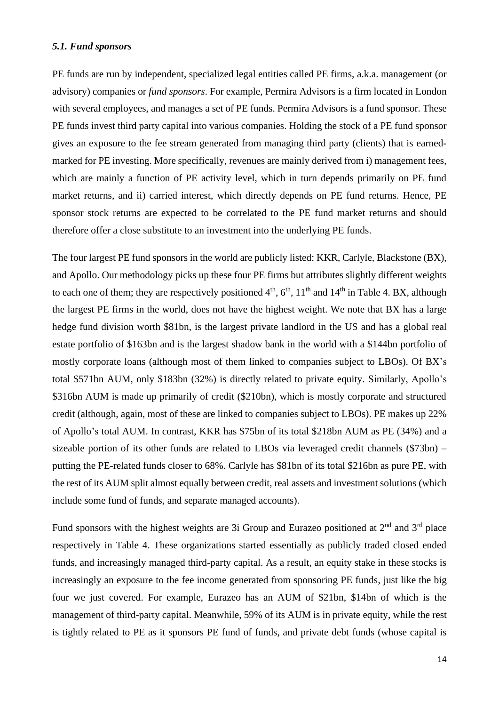#### *5.1. Fund sponsors*

PE funds are run by independent, specialized legal entities called PE firms, a.k.a. management (or advisory) companies or *fund sponsors*. For example, Permira Advisors is a firm located in London with several employees, and manages a set of PE funds. Permira Advisors is a fund sponsor. These PE funds invest third party capital into various companies. Holding the stock of a PE fund sponsor gives an exposure to the fee stream generated from managing third party (clients) that is earnedmarked for PE investing. More specifically, revenues are mainly derived from i) management fees, which are mainly a function of PE activity level, which in turn depends primarily on PE fund market returns, and ii) carried interest, which directly depends on PE fund returns. Hence, PE sponsor stock returns are expected to be correlated to the PE fund market returns and should therefore offer a close substitute to an investment into the underlying PE funds.

The four largest PE fund sponsors in the world are publicly listed: KKR, Carlyle, Blackstone (BX), and Apollo. Our methodology picks up these four PE firms but attributes slightly different weights to each one of them; they are respectively positioned  $4<sup>th</sup>$ ,  $6<sup>th</sup>$ ,  $11<sup>th</sup>$  and  $14<sup>th</sup>$  in Table 4. BX, although the largest PE firms in the world, does not have the highest weight. We note that BX has a large hedge fund division worth \$81bn, is the largest private landlord in the US and has a global real estate portfolio of \$163bn and is the largest shadow bank in the world with a \$144bn portfolio of mostly corporate loans (although most of them linked to companies subject to LBOs). Of BX's total \$571bn AUM, only \$183bn (32%) is directly related to private equity. Similarly, Apollo's \$316bn AUM is made up primarily of credit (\$210bn), which is mostly corporate and structured credit (although, again, most of these are linked to companies subject to LBOs). PE makes up 22% of Apollo's total AUM. In contrast, KKR has \$75bn of its total \$218bn AUM as PE (34%) and a sizeable portion of its other funds are related to LBOs via leveraged credit channels (\$73bn) – putting the PE-related funds closer to 68%. Carlyle has \$81bn of its total \$216bn as pure PE, with the rest of its AUM split almost equally between credit, real assets and investment solutions (which include some fund of funds, and separate managed accounts).

Fund sponsors with the highest weights are 3i Group and Eurazeo positioned at  $2<sup>nd</sup>$  and  $3<sup>rd</sup>$  place respectively in Table 4. These organizations started essentially as publicly traded closed ended funds, and increasingly managed third-party capital. As a result, an equity stake in these stocks is increasingly an exposure to the fee income generated from sponsoring PE funds, just like the big four we just covered. For example, Eurazeo has an AUM of \$21bn, \$14bn of which is the management of third-party capital. Meanwhile, 59% of its AUM is in private equity, while the rest is tightly related to PE as it sponsors PE fund of funds, and private debt funds (whose capital is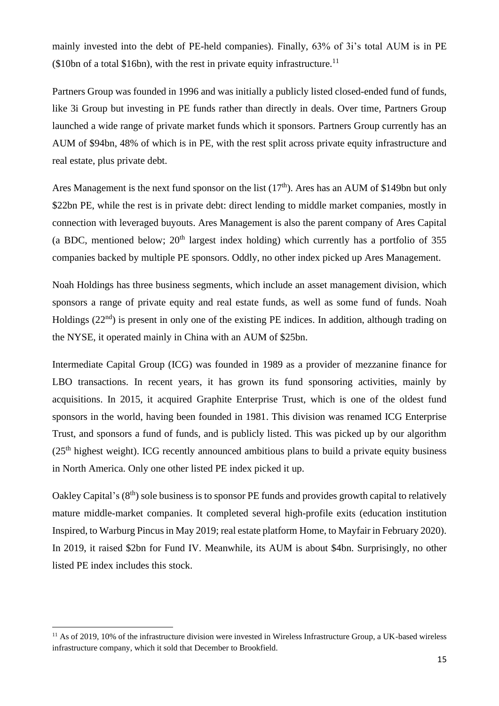mainly invested into the debt of PE-held companies). Finally, 63% of 3i's total AUM is in PE  $($10bn of a total $16bn)$ , with the rest in private equity infrastructure.<sup>11</sup>

Partners Group was founded in 1996 and was initially a publicly listed closed-ended fund of funds, like 3i Group but investing in PE funds rather than directly in deals. Over time, Partners Group launched a wide range of private market funds which it sponsors. Partners Group currently has an AUM of \$94bn, 48% of which is in PE, with the rest split across private equity infrastructure and real estate, plus private debt.

Ares Management is the next fund sponsor on the list  $(17<sup>th</sup>)$ . Ares has an AUM of \$149bn but only \$22bn PE, while the rest is in private debt: direct lending to middle market companies, mostly in connection with leveraged buyouts. Ares Management is also the parent company of Ares Capital (a BDC, mentioned below;  $20<sup>th</sup>$  largest index holding) which currently has a portfolio of 355 companies backed by multiple PE sponsors. Oddly, no other index picked up Ares Management.

Noah Holdings has three business segments, which include an asset management division, which sponsors a range of private equity and real estate funds, as well as some fund of funds. Noah Holdings  $(22<sup>nd</sup>)$  is present in only one of the existing PE indices. In addition, although trading on the NYSE, it operated mainly in China with an AUM of \$25bn.

Intermediate Capital Group (ICG) was founded in 1989 as a provider of mezzanine finance for LBO transactions. In recent years, it has grown its fund sponsoring activities, mainly by acquisitions. In 2015, it acquired Graphite Enterprise Trust, which is one of the oldest fund sponsors in the world, having been founded in 1981. This division was renamed ICG Enterprise Trust, and sponsors a fund of funds, and is publicly listed. This was picked up by our algorithm  $(25<sup>th</sup>$  highest weight). ICG recently announced ambitious plans to build a private equity business in North America. Only one other listed PE index picked it up.

Oakley Capital's (8<sup>th</sup>) sole business is to sponsor PE funds and provides growth capital to relatively mature middle-market companies. It completed several high-profile exits (education institution Inspired, to Warburg Pincus in May 2019; real estate platform Home, to Mayfair in February 2020). In 2019, it raised \$2bn for Fund IV. Meanwhile, its AUM is about \$4bn. Surprisingly, no other listed PE index includes this stock.

 $11$  As of 2019, 10% of the infrastructure division were invested in Wireless Infrastructure Group, a UK-based wireless infrastructure company, which it sold that December to Brookfield.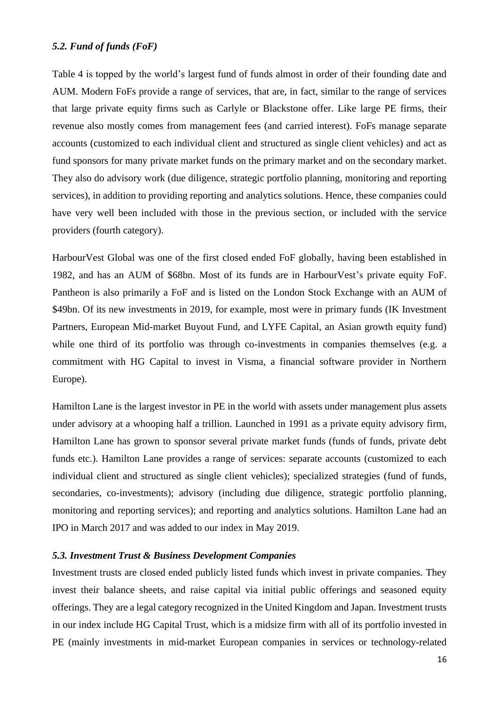#### *5.2. Fund of funds (FoF)*

Table 4 is topped by the world's largest fund of funds almost in order of their founding date and AUM. Modern FoFs provide a range of services, that are, in fact, similar to the range of services that large private equity firms such as Carlyle or Blackstone offer. Like large PE firms, their revenue also mostly comes from management fees (and carried interest). FoFs manage separate accounts (customized to each individual client and structured as single client vehicles) and act as fund sponsors for many private market funds on the primary market and on the secondary market. They also do advisory work (due diligence, strategic portfolio planning, monitoring and reporting services), in addition to providing reporting and analytics solutions. Hence, these companies could have very well been included with those in the previous section, or included with the service providers (fourth category).

HarbourVest Global was one of the first closed ended FoF globally, having been established in 1982, and has an AUM of \$68bn. Most of its funds are in HarbourVest's private equity FoF. Pantheon is also primarily a FoF and is listed on the London Stock Exchange with an AUM of \$49bn. Of its new investments in 2019, for example, most were in primary funds (IK Investment Partners, European Mid-market Buyout Fund, and LYFE Capital, an Asian growth equity fund) while one third of its portfolio was through co-investments in companies themselves (e.g. a commitment with HG Capital to invest in Visma, a financial software provider in Northern Europe).

Hamilton Lane is the largest investor in PE in the world with assets under management plus assets under advisory at a whooping half a trillion. Launched in 1991 as a private equity advisory firm, Hamilton Lane has grown to sponsor several private market funds (funds of funds, private debt funds etc.). Hamilton Lane provides a range of services: separate accounts (customized to each individual client and structured as single client vehicles); specialized strategies (fund of funds, secondaries, co-investments); advisory (including due diligence, strategic portfolio planning, monitoring and reporting services); and reporting and analytics solutions. Hamilton Lane had an IPO in March 2017 and was added to our index in May 2019.

## *5.3. Investment Trust & Business Development Companies*

Investment trusts are closed ended publicly listed funds which invest in private companies. They invest their balance sheets, and raise capital via initial public offerings and seasoned equity offerings. They are a legal category recognized in the United Kingdom and Japan. Investment trusts in our index include HG Capital Trust, which is a midsize firm with all of its portfolio invested in PE (mainly investments in mid-market European companies in services or technology-related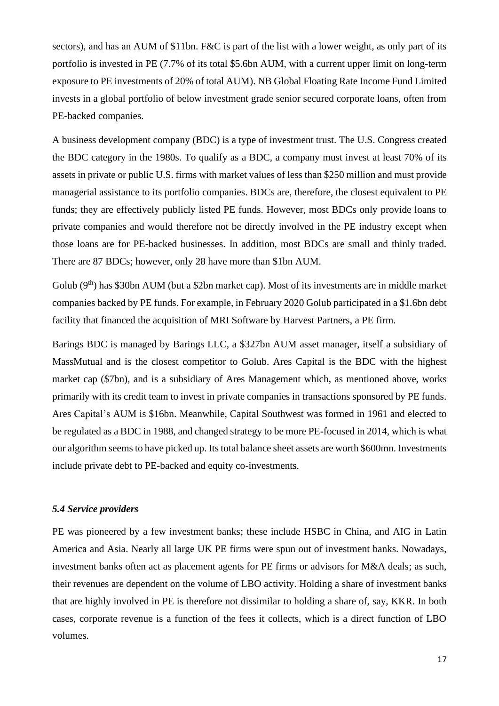sectors), and has an AUM of \$11bn. F&C is part of the list with a lower weight, as only part of its portfolio is invested in PE (7.7% of its total \$5.6bn AUM, with a current upper limit on long-term exposure to PE investments of 20% of total AUM). NB Global Floating Rate Income Fund Limited invests in a global portfolio of below investment grade senior secured corporate loans, often from PE-backed companies.

A business development company (BDC) is a type of investment trust. The U.S. Congress created the BDC category in the 1980s. To qualify as a BDC, a company must invest at least 70% of its assets in private or public U.S. firms with market values of less than \$250 million and must provide managerial assistance to its portfolio companies. BDCs are, therefore, the closest equivalent to PE funds; they are effectively publicly listed PE funds. However, most BDCs only provide loans to private companies and would therefore not be directly involved in the PE industry except when those loans are for PE-backed businesses. In addition, most BDCs are small and thinly traded. There are 87 BDCs; however, only 28 have more than \$1bn AUM.

Golub  $(9<sup>th</sup>)$  has \$30bn AUM (but a \$2bn market cap). Most of its investments are in middle market companies backed by PE funds. For example, in February 2020 Golub participated in a \$1.6bn debt facility that financed the acquisition of MRI Software by Harvest Partners, a PE firm.

Barings BDC is managed by Barings LLC, a \$327bn AUM asset manager, itself a subsidiary of MassMutual and is the closest competitor to Golub. Ares Capital is the BDC with the highest market cap (\$7bn), and is a subsidiary of Ares Management which, as mentioned above, works primarily with its credit team to invest in private companies in transactions sponsored by PE funds. Ares Capital's AUM is \$16bn. Meanwhile, Capital Southwest was formed in 1961 and elected to be regulated as a BDC in 1988, and changed strategy to be more PE-focused in 2014, which is what our algorithm seems to have picked up. Its total balance sheet assets are worth \$600mn. Investments include private debt to PE-backed and equity co-investments.

# *5.4 Service providers*

PE was pioneered by a few investment banks; these include HSBC in China, and AIG in Latin America and Asia. Nearly all large UK PE firms were spun out of investment banks. Nowadays, investment banks often act as placement agents for PE firms or advisors for M&A deals; as such, their revenues are dependent on the volume of LBO activity. Holding a share of investment banks that are highly involved in PE is therefore not dissimilar to holding a share of, say, KKR. In both cases, corporate revenue is a function of the fees it collects, which is a direct function of LBO volumes.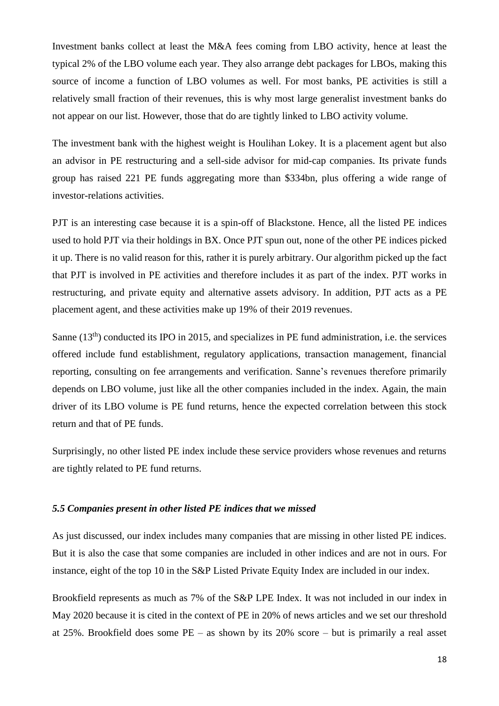Investment banks collect at least the M&A fees coming from LBO activity, hence at least the typical 2% of the LBO volume each year. They also arrange debt packages for LBOs, making this source of income a function of LBO volumes as well. For most banks, PE activities is still a relatively small fraction of their revenues, this is why most large generalist investment banks do not appear on our list. However, those that do are tightly linked to LBO activity volume.

The investment bank with the highest weight is Houlihan Lokey. It is a placement agent but also an advisor in PE restructuring and a sell-side advisor for mid-cap companies. Its private funds group has raised 221 PE funds aggregating more than \$334bn, plus offering a wide range of investor-relations activities.

PJT is an interesting case because it is a spin-off of Blackstone. Hence, all the listed PE indices used to hold PJT via their holdings in BX. Once PJT spun out, none of the other PE indices picked it up. There is no valid reason for this, rather it is purely arbitrary. Our algorithm picked up the fact that PJT is involved in PE activities and therefore includes it as part of the index. PJT works in restructuring, and private equity and alternative assets advisory. In addition, PJT acts as a PE placement agent, and these activities make up 19% of their 2019 revenues.

Sanne (13<sup>th</sup>) conducted its IPO in 2015, and specializes in PE fund administration, i.e. the services offered include fund establishment, regulatory applications, transaction management, financial reporting, consulting on fee arrangements and verification. Sanne's revenues therefore primarily depends on LBO volume, just like all the other companies included in the index. Again, the main driver of its LBO volume is PE fund returns, hence the expected correlation between this stock return and that of PE funds.

Surprisingly, no other listed PE index include these service providers whose revenues and returns are tightly related to PE fund returns.

#### *5.5 Companies present in other listed PE indices that we missed*

As just discussed, our index includes many companies that are missing in other listed PE indices. But it is also the case that some companies are included in other indices and are not in ours. For instance, eight of the top 10 in the S&P Listed Private Equity Index are included in our index.

Brookfield represents as much as 7% of the S&P LPE Index. It was not included in our index in May 2020 because it is cited in the context of PE in 20% of news articles and we set our threshold at 25%. Brookfield does some PE – as shown by its 20% score – but is primarily a real asset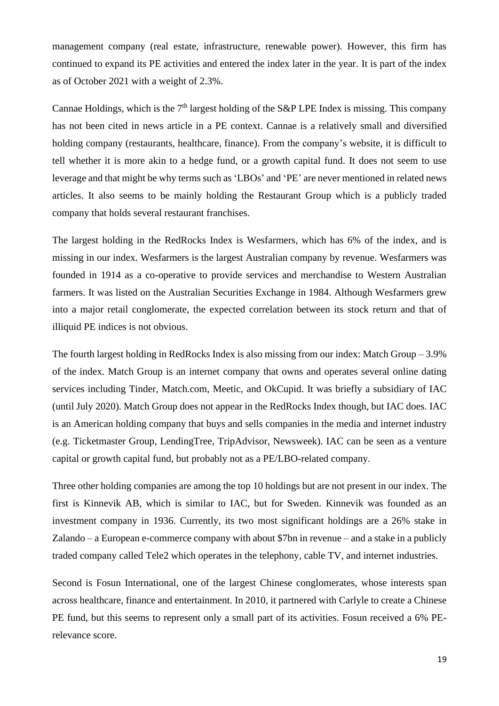management company (real estate, infrastructure, renewable power). However, this firm has continued to expand its PE activities and entered the index later in the year. It is part of the index as of October 2021 with a weight of 2.3%.

Cannae Holdings, which is the  $7<sup>th</sup>$  largest holding of the S&P LPE Index is missing. This company has not been cited in news article in a PE context. Cannae is a relatively small and diversified holding company (restaurants, healthcare, finance). From the company's website, it is difficult to tell whether it is more akin to a hedge fund, or a growth capital fund. It does not seem to use leverage and that might be why terms such as 'LBOs' and 'PE' are never mentioned in related news articles. It also seems to be mainly holding the Restaurant Group which is a publicly traded company that holds several restaurant franchises.

The largest holding in the RedRocks Index is Wesfarmers, which has 6% of the index, and is missing in our index. Wesfarmers is the largest Australian company by revenue. Wesfarmers was founded in 1914 as a co-operative to provide services and merchandise to Western Australian farmers. It was listed on the Australian Securities Exchange in 1984. Although Wesfarmers grew into a major retail conglomerate, the expected correlation between its stock return and that of illiquid PE indices is not obvious.

The fourth largest holding in RedRocks Index is also missing from our index: Match Group – 3.9% of the index. Match Group is an internet company that owns and operates several online dating services including Tinder, Match.com, Meetic, and OkCupid. It was briefly a subsidiary of IAC (until July 2020). Match Group does not appear in the RedRocks Index though, but IAC does. IAC is an American holding company that buys and sells companies in the media and internet industry (e.g. Ticketmaster Group, LendingTree, TripAdvisor, Newsweek). IAC can be seen as a venture capital or growth capital fund, but probably not as a PE/LBO-related company.

Three other holding companies are among the top 10 holdings but are not present in our index. The first is Kinnevik AB, which is similar to IAC, but for Sweden. Kinnevik was founded as an investment company in 1936. Currently, its two most significant holdings are a 26% stake in Zalando – a European e-commerce company with about \$7bn in revenue – and a stake in a publicly traded company called Tele2 which operates in the telephony, cable TV, and internet industries.

Second is Fosun International, one of the largest Chinese conglomerates, whose interests span across healthcare, finance and entertainment. In 2010, it partnered with Carlyle to create a Chinese PE fund, but this seems to represent only a small part of its activities. Fosun received a 6% PErelevance score.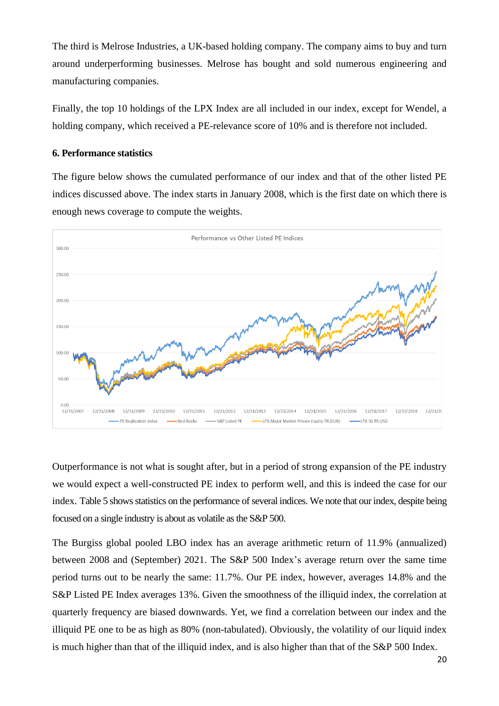The third is Melrose Industries, a UK-based holding company. The company aims to buy and turn around underperforming businesses. Melrose has bought and sold numerous engineering and manufacturing companies.

Finally, the top 10 holdings of the LPX Index are all included in our index, except for Wendel, a holding company, which received a PE-relevance score of 10% and is therefore not included.

## **6. Performance statistics**

The figure below shows the cumulated performance of our index and that of the other listed PE indices discussed above. The index starts in January 2008, which is the first date on which there is enough news coverage to compute the weights.



Outperformance is not what is sought after, but in a period of strong expansion of the PE industry we would expect a well-constructed PE index to perform well, and this is indeed the case for our index. Table 5 shows statistics on the performance of several indices. We note that our index, despite being focused on a single industry is about as volatile as the S&P 500.

The Burgiss global pooled LBO index has an average arithmetic return of 11.9% (annualized) between 2008 and (September) 2021. The S&P 500 Index's average return over the same time period turns out to be nearly the same: 11.7%. Our PE index, however, averages 14.8% and the S&P Listed PE Index averages 13%. Given the smoothness of the illiquid index, the correlation at quarterly frequency are biased downwards. Yet, we find a correlation between our index and the illiquid PE one to be as high as 80% (non-tabulated). Obviously, the volatility of our liquid index is much higher than that of the illiquid index, and is also higher than that of the S&P 500 Index.